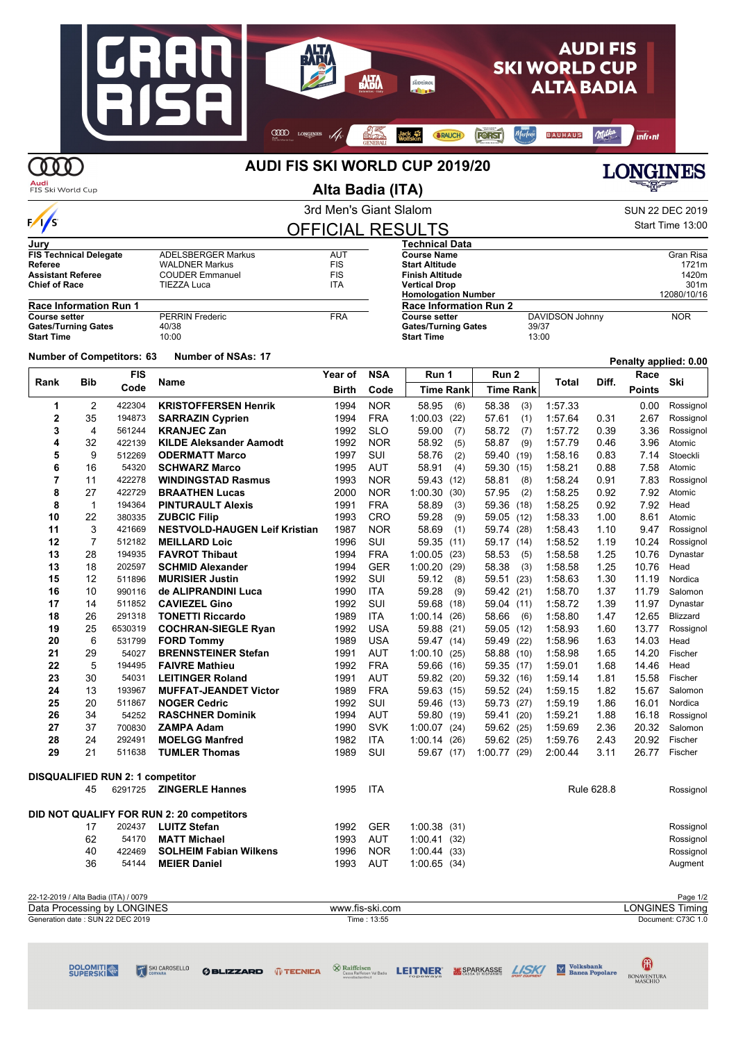#### **JHH AUDIFIS AHO** H **SKI WORLD CUP** AHA südtiro **ALTA BADIA**  $\boxed{\blacksquare}$ COOD LONGINES // STEAD JACK TO RAUCH FOTST Martene BAUHAUS Milke infr•nt **COOD** AUDI FIS SKI WORLD CUP 2019/20 **LONGINES**

| JUITTIILIN IJU<br>€ |
|---------------------|
|                     |

| Alta Badia (ITA)<br>FIS Ski World Cup                      |              |                                         |                                                 |                        |                    |                                                 | ▀▜▛▀                        |         |            |               |                        |
|------------------------------------------------------------|--------------|-----------------------------------------|-------------------------------------------------|------------------------|--------------------|-------------------------------------------------|-----------------------------|---------|------------|---------------|------------------------|
|                                                            |              |                                         |                                                 | 3rd Men's Giant Slalom |                    |                                                 |                             |         |            |               | <b>SUN 22 DEC 2019</b> |
| $\frac{1}{s}$                                              |              |                                         |                                                 |                        |                    | <b>OFFICIAL RESULTS</b>                         |                             |         |            |               | Start Time 13:00       |
| Jurv                                                       |              |                                         |                                                 |                        |                    | Technical Data                                  |                             |         |            |               |                        |
| <b>FIS Technical Delegate</b><br><b>ADELSBERGER Markus</b> |              |                                         | <b>AUT</b>                                      |                        | <b>Course Name</b> |                                                 |                             |         | Gran Risa  |               |                        |
| Referee<br><b>Assistant Referee</b>                        |              |                                         | <b>WALDNER Markus</b><br><b>COUDER Emmanuel</b> | <b>FIS</b><br>FIS      |                    | <b>Start Altitude</b><br><b>Finish Altitude</b> |                             |         |            |               | 1721m<br>1420m         |
| <b>Chief of Race</b>                                       |              |                                         | <b>TIEZZA Luca</b>                              | ITA                    |                    | <b>Vertical Drop</b>                            |                             |         |            |               | 301m                   |
|                                                            |              |                                         |                                                 |                        |                    | <b>Homologation Number</b>                      |                             |         |            |               | 12080/10/16            |
| <b>Race Information Run 1</b>                              |              |                                         |                                                 |                        |                    | <b>Race Information Run 2</b>                   |                             |         |            |               |                        |
| <b>Course setter</b>                                       |              |                                         | <b>PERRIN Frederic</b>                          | <b>FRA</b>             |                    | DAVIDSON Johnny<br><b>Course setter</b>         |                             |         |            |               | <b>NOR</b>             |
| <b>Gates/Turning Gates</b><br><b>Start Time</b>            |              |                                         | 40/38<br>10:00                                  |                        |                    | <b>Gates/Turning Gates</b><br><b>Start Time</b> | 39/37<br>13:00              |         |            |               |                        |
|                                                            |              |                                         |                                                 |                        |                    |                                                 |                             |         |            |               |                        |
|                                                            |              | <b>Number of Competitors: 63</b>        | <b>Number of NSAs: 17</b>                       |                        |                    |                                                 |                             |         |            |               | Penalty applied: 0.00  |
|                                                            |              | <b>FIS</b>                              |                                                 | Year of                | <b>NSA</b>         | Run 1                                           | Run 2                       |         |            | Race          |                        |
| Rank                                                       | Bib          | Code                                    | Name                                            | Birth                  | Code               | <b>Time Rank</b>                                | <b>Time Rank</b>            | Total   | Diff.      | <b>Points</b> | Ski                    |
| 1                                                          | 2            | 422304                                  | <b>KRISTOFFERSEN Henrik</b>                     | 1994                   | <b>NOR</b>         | 58.95<br>(6)                                    | 58.38<br>(3)                | 1:57.33 |            | 0.00          | Rossignol              |
| $\mathbf{2}$                                               | 35           | 194873                                  | <b>SARRAZIN Cyprien</b>                         | 1994                   | <b>FRA</b>         | 1:00.03<br>(22)                                 | 57.61<br>(1)                | 1:57.64 | 0.31       | 2.67          | Rossignol              |
| 3                                                          | 4            | 561244                                  | <b>KRANJEC Zan</b>                              | 1992                   | <b>SLO</b>         | 59.00<br>(7)                                    | 58.72<br>(7)                | 1:57.72 | 0.39       | 3.36          | Rossignol              |
| 4                                                          | 32           | 422139                                  | <b>KILDE Aleksander Aamodt</b>                  | 1992                   | <b>NOR</b>         | 58.92<br>(5)                                    | 58.87<br>(9)                | 1:57.79 | 0.46       | 3.96          | Atomic                 |
| 5                                                          | 9            | 512269                                  | <b>ODERMATT Marco</b>                           | 1997                   | SUI                | 58.76<br>(2)                                    | 59.40<br>(19)               | 1:58.16 | 0.83       | 7.14          | Stoeckli               |
| 6                                                          | 16           | 54320                                   | <b>SCHWARZ Marco</b>                            | 1995                   | AUT                | 58.91<br>(4)                                    | 59.30 (15)                  | 1:58.21 | 0.88       | 7.58          | Atomic                 |
| 7                                                          | 11           | 422278                                  | <b>WINDINGSTAD Rasmus</b>                       | 1993                   | <b>NOR</b>         | 59.43<br>(12)                                   | 58.81<br>(8)                | 1:58.24 | 0.91       | 7.83          | Rossignol              |
| 8                                                          | 27           | 422729                                  | <b>BRAATHEN Lucas</b>                           | 2000                   | <b>NOR</b>         | 1:00.30<br>(30)                                 | 57.95<br>(2)                | 1:58.25 | 0.92       | 7.92          | Atomic                 |
| 8                                                          | $\mathbf{1}$ | 194364                                  | <b>PINTURAULT Alexis</b>                        | 1991                   | <b>FRA</b>         | 58.89<br>(3)                                    | 59.36 (18)                  | 1:58.25 | 0.92       | 7.92          | Head                   |
| 10                                                         | 22           | 380335                                  | <b>ZUBCIC Filip</b>                             | 1993                   | CRO                | 59.28<br>(9)                                    | 59.05 (12)                  | 1:58.33 | 1.00       | 8.61          | Atomic                 |
| 11                                                         | 3            | 421669                                  | <b>NESTVOLD-HAUGEN Leif Kristian</b>            | 1987                   | <b>NOR</b>         | 58.69<br>(1)                                    | 59.74 (28)                  | 1:58.43 | 1.10       | 9.47          | Rossignol              |
| 12                                                         | 7            | 512182                                  | <b>MEILLARD Loic</b>                            | 1996                   | SUI                | 59.35<br>(11)                                   | 59.17 (14)                  | 1:58.52 | 1.19       | 10.24         | Rossignol              |
| 13                                                         | 28           | 194935                                  | <b>FAVROT Thibaut</b>                           | 1994                   | <b>FRA</b>         | 1:00.05<br>(23)                                 | 58.53<br>(5)                | 1:58.58 | 1.25       | 10.76         | Dynastar               |
| 13                                                         | 18           | 202597                                  | <b>SCHMID Alexander</b>                         | 1994                   | <b>GER</b>         | 1:00.20<br>(29)                                 | 58.38<br>(3)                | 1:58.58 | 1.25       | 10.76         | Head                   |
| 15                                                         | 12           | 511896                                  | <b>MURISIER Justin</b>                          | 1992                   | SUI                | 59.12<br>(8)                                    | 59.51 (23)                  | 1:58.63 | 1.30       | 11.19         | Nordica                |
| 16                                                         | 10           | 990116                                  | de ALIPRANDINI Luca                             | 1990                   | <b>ITA</b>         | 59.28<br>(9)                                    | 59.42 (21)                  | 1:58.70 | 1.37       | 11.79         | Salomon                |
| 17                                                         | 14           | 511852                                  | <b>CAVIEZEL Gino</b>                            | 1992                   | SUI                | 59.68<br>(18)                                   | 59.04 (11)                  | 1:58.72 | 1.39       | 11.97         | Dynastar               |
| 18                                                         | 26           | 291318                                  | <b>TONETTI Riccardo</b>                         | 1989                   | <b>ITA</b>         | 1:00.14<br>(26)                                 | 58.66<br>(6)                | 1:58.80 | 1.47       | 12.65         | Blizzard               |
| 19                                                         | 25           | 6530319                                 | <b>COCHRAN-SIEGLE Ryan</b>                      | 1992                   | <b>USA</b>         | 59.88<br>(21)                                   | 59.05 (12)                  | 1:58.93 | 1.60       | 13.77         | Rossignol              |
| 20                                                         | 6            | 531799                                  | <b>FORD Tommy</b>                               | 1989                   | USA                | 59.47<br>(14)                                   | 59.49 (22)                  | 1:58.96 | 1.63       | 14.03         | Head                   |
| 21                                                         | 29           | 54027                                   | <b>BRENNSTEINER Stefan</b>                      | 1991                   | AUT                | 1:00.10<br>(25)                                 | 58.88 (10)                  | 1:58.98 | 1.65       | 14.20         | Fischer                |
| 22                                                         | 5            | 194495                                  | <b>FAIVRE Mathieu</b>                           | 1992                   | <b>FRA</b>         | 59.66<br>(16)                                   | 59.35 (17)                  | 1:59.01 | 1.68       | 14.46         | Head                   |
| 23                                                         | 30           | 54031                                   | <b>LEITINGER Roland</b>                         | 1991                   | AUT                | 59.82 (20)                                      | 59.32 (16)                  | 1:59.14 | 1.81       | 15.58         | Fischer                |
| 24                                                         | 13           | 193967                                  | <b>MUFFAT-JEANDET Victor</b>                    | 1989                   | <b>FRA</b>         | 59.63 (15)                                      | 59.52 (24)                  | 1:59.15 | 1.82       | 15.67         | Salomon                |
| 25                                                         | 20           | 511867                                  | <b>NOGER Cedric</b>                             | 1992                   | SUI                | 59.46<br>(13)                                   | 59.73 (27)                  | 1:59.19 | 1.86       | 16.01         | Nordica                |
| 26                                                         | 34           | 54252                                   | <b>RASCHNER Dominik</b>                         | 1994                   | AUT                | 59.80<br>(19)                                   | 59.41 (20)                  | 1:59.21 | 1.88       | 16.18         | Rossignol              |
| 27                                                         | 37           | 700830                                  | <b>ZAMPA Adam</b>                               | 1990                   | <b>SVK</b>         | 1:00.07(24)                                     | 59.62 (25)                  | 1:59.69 | 2.36       | 20.32         | Salomon                |
| 28                                                         | 24           | 292491                                  | <b>MOELGG Manfred</b>                           | 1982                   | ITA                |                                                 | $1.00.14$ (26) $59.62$ (25) | 1:59.76 | 2.43       |               | 20.92 Fischer          |
| 29                                                         | 21           | 511638                                  | <b>TUMLER Thomas</b>                            | 1989                   | SUI                |                                                 | 59.67 (17) 1.00.77 (29)     | 2:00.44 | 3.11       |               | 26.77 Fischer          |
|                                                            |              | <b>DISQUALIFIED RUN 2: 1 competitor</b> |                                                 |                        |                    |                                                 |                             |         |            |               |                        |
|                                                            | 45           | 6291725                                 | <b>ZINGERLE Hannes</b>                          | 1995                   | ITA                |                                                 |                             |         | Rule 628.8 |               | Rossignol              |
|                                                            |              |                                         |                                                 |                        |                    |                                                 |                             |         |            |               |                        |
|                                                            |              |                                         | DID NOT QUALIFY FOR RUN 2: 20 competitors       |                        |                    |                                                 |                             |         |            |               |                        |
|                                                            | 17           | 202437                                  | <b>LUITZ Stefan</b>                             | 1992                   | <b>GER</b>         | 1:00.38(31)                                     |                             |         |            |               | Rossignol              |
|                                                            | 62           | 54170                                   | <b>MATT Michael</b>                             | 1993                   | AUT                | 1:00.41(32)                                     |                             |         |            |               | Rossignol              |
|                                                            | 40           | 422469                                  | <b>SOLHEIM Fabian Wilkens</b>                   | 1996                   | <b>NOR</b>         | 1:00.44(33)                                     |                             |         |            |               | Rossignol              |
|                                                            | 36           | 54144                                   | <b>MEIER Daniel</b>                             | 1993                   | AUT                | 1:00.65(34)                                     |                             |         |            |               | Augment                |

| 22-12-2019 / Alta Badia (ITA) /<br>/ 0079  |                 | Page 1/2                         |
|--------------------------------------------|-----------------|----------------------------------|
| <b>LONGINES</b><br>Data Processing<br>by L | www.fis-ski.com | LONGINES <sup>:</sup><br>l iminc |
| Generation date : SUN 22 DEC 2019          | 13:55<br>Time:  | Document: C73C 1.0               |

SKICAROSELLO **OBLIZZARD (UTECNICA** <sup>O</sup> Raiffeisen Magnetic LEITNER **MS**SPARKASSE AND **M** Banea Popolare